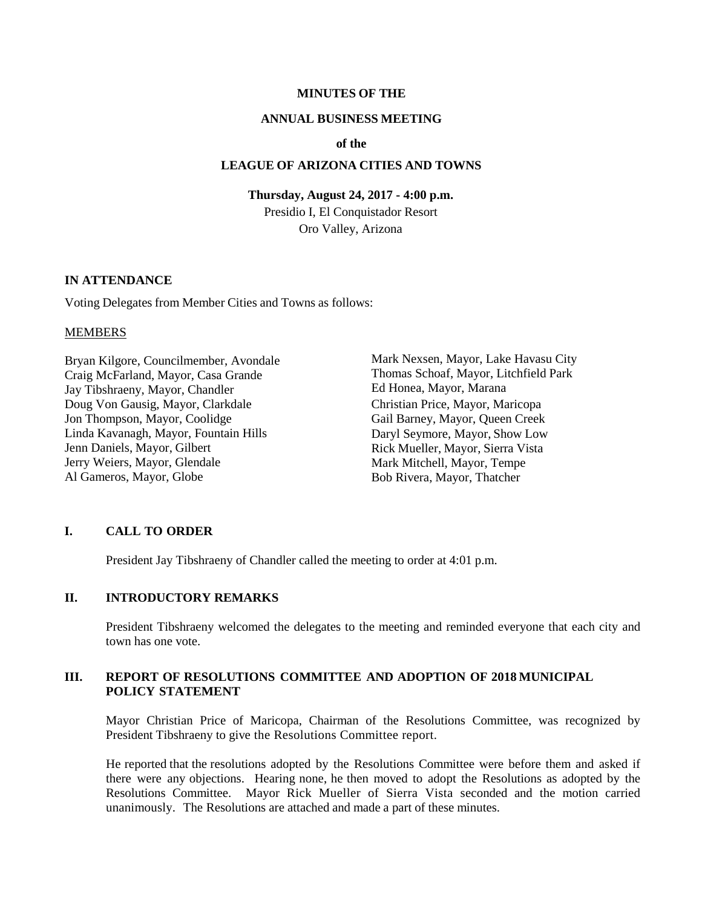#### **MINUTES OF THE**

#### **ANNUAL BUSINESS MEETING**

#### **of the**

### **LEAGUE OF ARIZONA CITIES AND TOWNS**

#### **Thursday, August 24, 2017 - 4:00 p.m.**

Presidio I, El Conquistador Resort Oro Valley, Arizona

### **IN ATTENDANCE**

Voting Delegates from Member Cities and Towns as follows:

#### **MEMBERS**

Bryan Kilgore, Councilmember, Avondale Craig McFarland, Mayor, Casa Grande Jay Tibshraeny, Mayor, Chandler Doug Von Gausig, Mayor, Clarkdale Jon Thompson, Mayor, Coolidge Linda Kavanagh, Mayor, Fountain Hills Jenn Daniels, Mayor, Gilbert Jerry Weiers, Mayor, Glendale Al Gameros, Mayor, Globe

Mark Nexsen, Mayor, Lake Havasu City Thomas Schoaf, Mayor, Litchfield Park Ed Honea, Mayor, Marana Christian Price, Mayor, Maricopa Gail Barney, Mayor, Queen Creek Daryl Seymore, Mayor, Show Low Rick Mueller, Mayor, Sierra Vista Mark Mitchell, Mayor, Tempe Bob Rivera, Mayor, Thatcher

### **I. CALL TO ORDER**

President Jay Tibshraeny of Chandler called the meeting to order at 4:01 p.m.

#### **II. INTRODUCTORY REMARKS**

President Tibshraeny welcomed the delegates to the meeting and reminded everyone that each city and town has one vote.

### **III. REPORT OF RESOLUTIONS COMMITTEE AND ADOPTION OF 2018 MUNICIPAL POLICY STATEMENT**

Mayor Christian Price of Maricopa, Chairman of the Resolutions Committee, was recognized by President Tibshraeny to give the Resolutions Committee report.

He reported that the resolutions adopted by the Resolutions Committee were before them and asked if there were any objections. Hearing none, he then moved to adopt the Resolutions as adopted by the Resolutions Committee. Mayor Rick Mueller of Sierra Vista seconded and the motion carried unanimously. The Resolutions are attached and made a part of these minutes.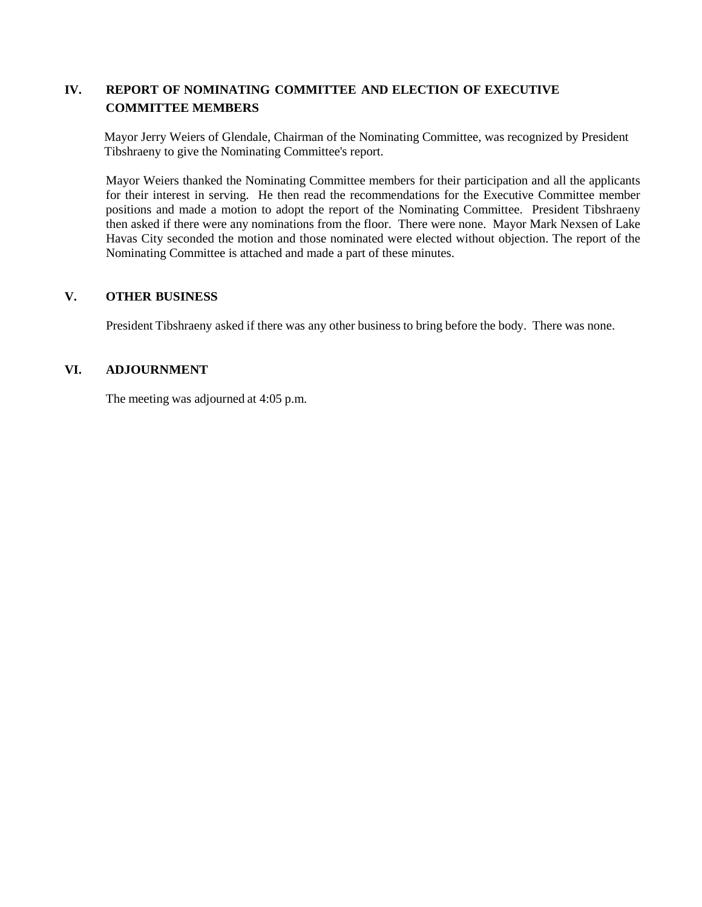## **IV. REPORT OF NOMINATING COMMITTEE AND ELECTION OF EXECUTIVE COMMITTEE MEMBERS**

Mayor Jerry Weiers of Glendale, Chairman of the Nominating Committee, was recognized by President Tibshraeny to give the Nominating Committee's report.

Mayor Weiers thanked the Nominating Committee members for their participation and all the applicants for their interest in serving. He then read the recommendations for the Executive Committee member positions and made a motion to adopt the report of the Nominating Committee. President Tibshraeny then asked if there were any nominations from the floor. There were none. Mayor Mark Nexsen of Lake Havas City seconded the motion and those nominated were elected without objection. The report of the Nominating Committee is attached and made a part of these minutes.

## **V. OTHER BUSINESS**

President Tibshraeny asked if there was any other business to bring before the body. There was none.

## **VI. ADJOURNMENT**

The meeting was adjourned at 4:05 p.m.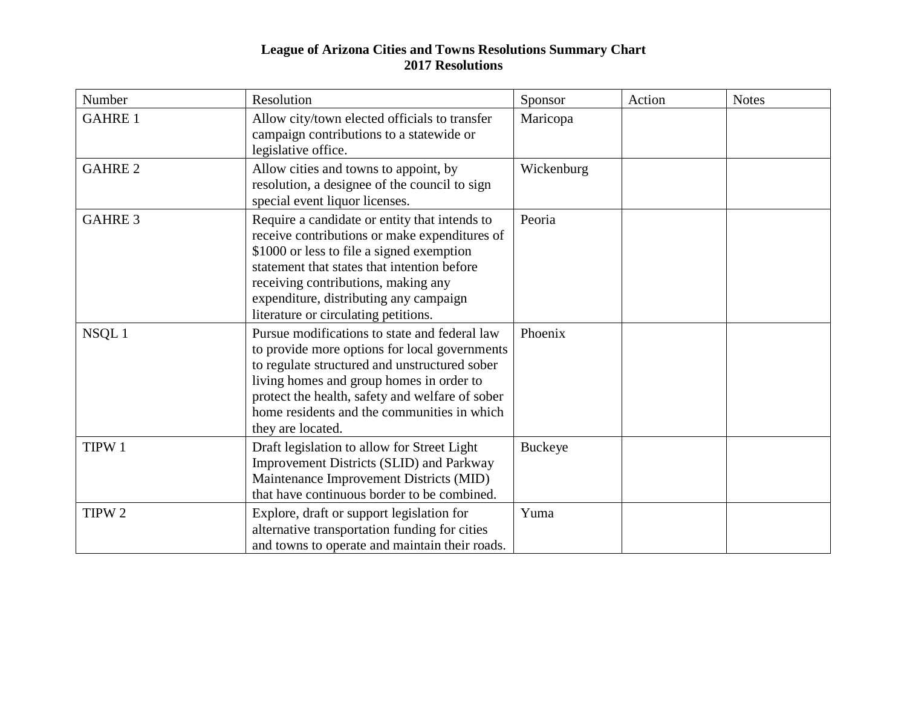## **League of Arizona Cities and Towns Resolutions Summary Chart 2017 Resolutions**

| Number            | Resolution                                                                                                                                                                                                                                                                                                          | Sponsor    | Action | <b>Notes</b> |
|-------------------|---------------------------------------------------------------------------------------------------------------------------------------------------------------------------------------------------------------------------------------------------------------------------------------------------------------------|------------|--------|--------------|
| <b>GAHRE 1</b>    | Allow city/town elected officials to transfer<br>campaign contributions to a statewide or<br>legislative office.                                                                                                                                                                                                    | Maricopa   |        |              |
| <b>GAHRE 2</b>    | Allow cities and towns to appoint, by<br>resolution, a designee of the council to sign<br>special event liquor licenses.                                                                                                                                                                                            | Wickenburg |        |              |
| <b>GAHRE 3</b>    | Require a candidate or entity that intends to<br>receive contributions or make expenditures of<br>\$1000 or less to file a signed exemption<br>statement that states that intention before<br>receiving contributions, making any<br>expenditure, distributing any campaign<br>literature or circulating petitions. | Peoria     |        |              |
| NSQL1             | Pursue modifications to state and federal law<br>to provide more options for local governments<br>to regulate structured and unstructured sober<br>living homes and group homes in order to<br>protect the health, safety and welfare of sober<br>home residents and the communities in which<br>they are located.  | Phoenix    |        |              |
| TIPW 1            | Draft legislation to allow for Street Light<br><b>Improvement Districts (SLID) and Parkway</b><br>Maintenance Improvement Districts (MID)<br>that have continuous border to be combined.                                                                                                                            | Buckeye    |        |              |
| TIPW <sub>2</sub> | Explore, draft or support legislation for<br>alternative transportation funding for cities<br>and towns to operate and maintain their roads.                                                                                                                                                                        | Yuma       |        |              |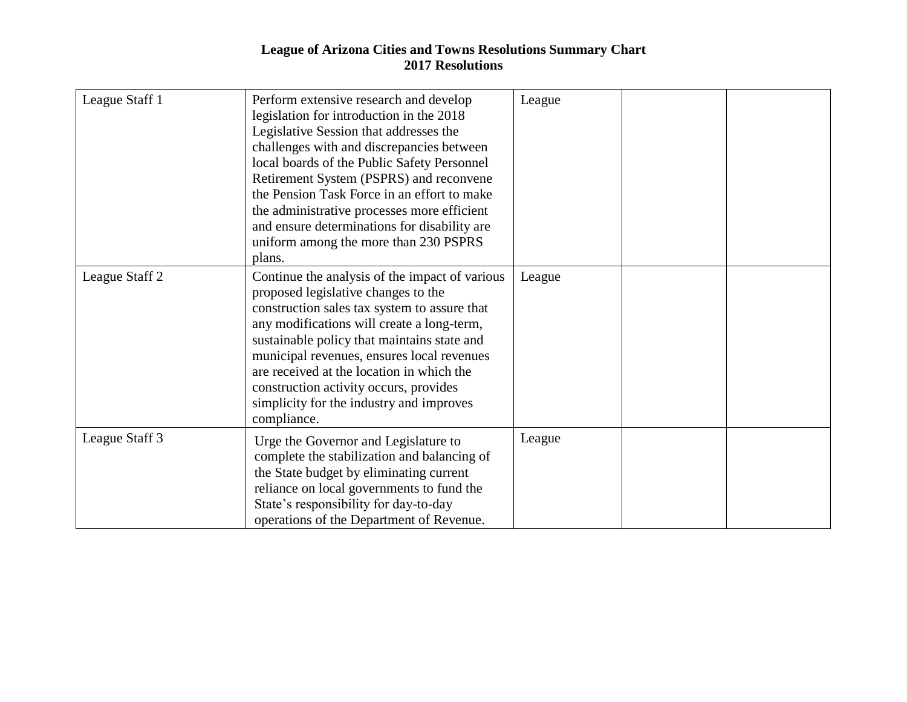## **League of Arizona Cities and Towns Resolutions Summary Chart 2017 Resolutions**

| League Staff 1 | Perform extensive research and develop<br>legislation for introduction in the 2018<br>Legislative Session that addresses the<br>challenges with and discrepancies between<br>local boards of the Public Safety Personnel<br>Retirement System (PSPRS) and reconvene<br>the Pension Task Force in an effort to make<br>the administrative processes more efficient<br>and ensure determinations for disability are<br>uniform among the more than 230 PSPRS<br>plans. | League |  |
|----------------|----------------------------------------------------------------------------------------------------------------------------------------------------------------------------------------------------------------------------------------------------------------------------------------------------------------------------------------------------------------------------------------------------------------------------------------------------------------------|--------|--|
| League Staff 2 | Continue the analysis of the impact of various<br>proposed legislative changes to the<br>construction sales tax system to assure that<br>any modifications will create a long-term,<br>sustainable policy that maintains state and<br>municipal revenues, ensures local revenues<br>are received at the location in which the<br>construction activity occurs, provides<br>simplicity for the industry and improves<br>compliance.                                   | League |  |
| League Staff 3 | Urge the Governor and Legislature to<br>complete the stabilization and balancing of<br>the State budget by eliminating current<br>reliance on local governments to fund the<br>State's responsibility for day-to-day<br>operations of the Department of Revenue.                                                                                                                                                                                                     | League |  |